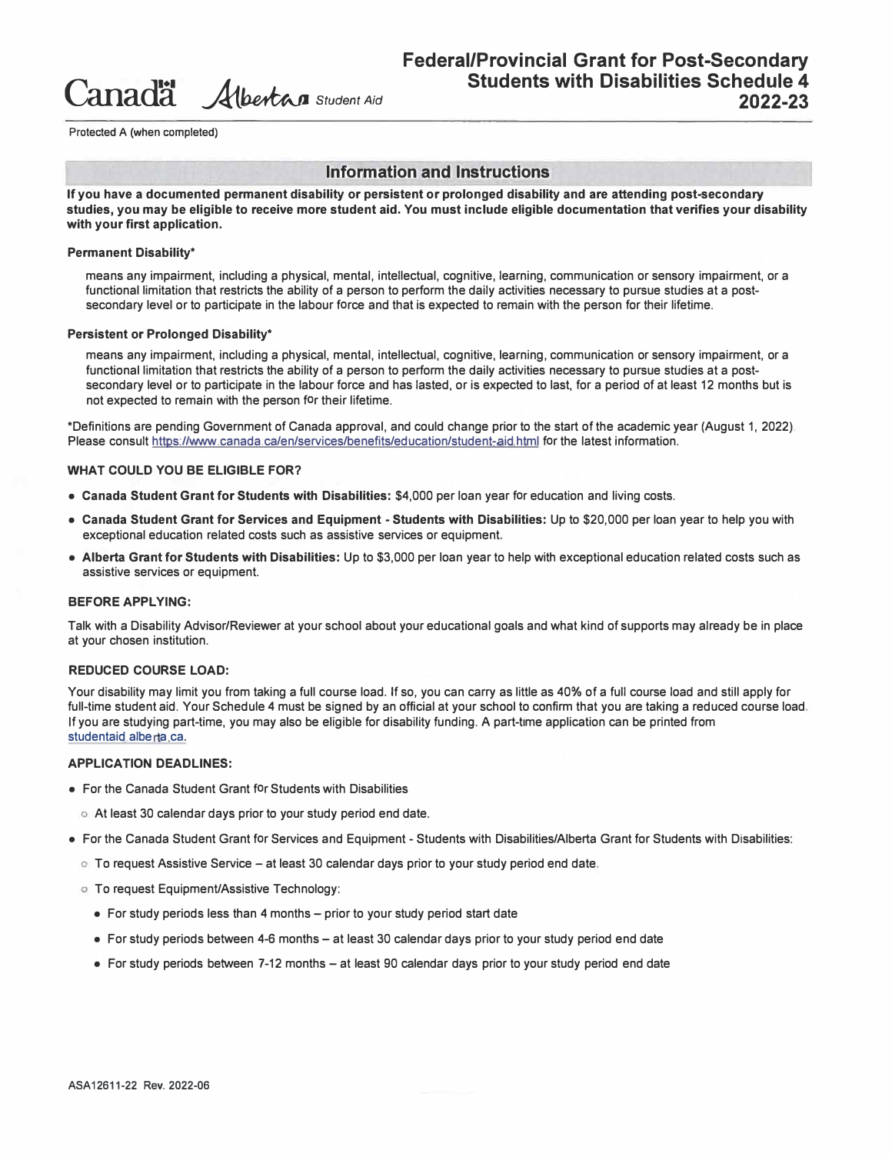**Canada ..A1..�** *Student Aid*

**Protected A (when completed)** 

## **Information and Instructions**

**If you have a documented permanent disability or persistent or prolonged disability and are attending post-secondary studies, you may be eligible to receive more student aid. You must include eligible documentation that verifies your disability with your first application.** 

#### **Permanent Disability\***

means any impairment, including a physical, mental, intellectual, cognitive, learning, communication or sensory impairment, or a functional limitation that restricts the ability of a person to perform the daily activities necessary to pursue studies at a postsecondary level or to participate in the labour force and that is expected to remain with the person for their lifetime.

#### **Persistent or Prolonged Disability\***

means any impairment, including a physical, mental, intellectual, cognitive, learning, communication or sensory impairment, or a functional limitation that restricts the ability of a person to perform the daily activities necessary to pursue studies at a postsecondary level or to participate in the labour force and has lasted, or is expected to last, for a period of at least 12 months but is not expected to remain with the person for their lifetime.

\*Definitions are pending Government of Canada approval, and could change prior to the start of the academic year (August 1, 2022). Please consult https://www.canada.ca/en/services/benefits/education/student-aid.html for the latest information.

#### **WHAT COULD YOU BE ELIGIBLE FOR?**

- **Canada Student Grant for Students with Disabilities:** \$4,000 per loan year for education and living costs.
- **Canada Student Grant for Services and Equipment - Students with Disabilities:** Up to \$20,000 per loan year to help you with exceptional education related costs such as assistive services or equipment.
- **Alberta Grant for Students with Disabilities:** Up to \$3,000 per loan year to help with exceptional education related costs such as assistive services or equipment.

#### **BEFORE APPLYING:**

Talk with a Disability Advisor/Reviewer at your school about your educational goals and what kind of supports may already be in place at your chosen institution.

#### **REDUCED COURSE LOAD:**

Your disability may limit you from taking a full course load. If so, you can carry as little as 40% of a full course load and still apply for full-time student aid. Your Schedule 4 must be signed by an official at your school to confirm that you are taking a reduced course load. If you are studying part-time, you may also be eligible for disability funding. A part-time application can be printed from studentaid alberta ca.

#### **APPLICATION DEADLINES:**

- For the Canada Student Grant for Students with Disabilities
	- o At least 30 calendar days prior to your study period end date.
- For the Canada Student Grant for Services and Equipment Students with Disabilities/Alberta Grant for Students with Disabilities:
	- $\circ$  To request Assistive Service at least 30 calendar days prior to your study period end date.
	- o To request Equipment/Assistive Technology:
		- For study periods less than 4 months prior to your study period start date
		- For study periods between 4-6 months at least 30 calendar days prior to your study period end date
		- For study periods between 7-12 months at least 90 calendar days prior to your study period end date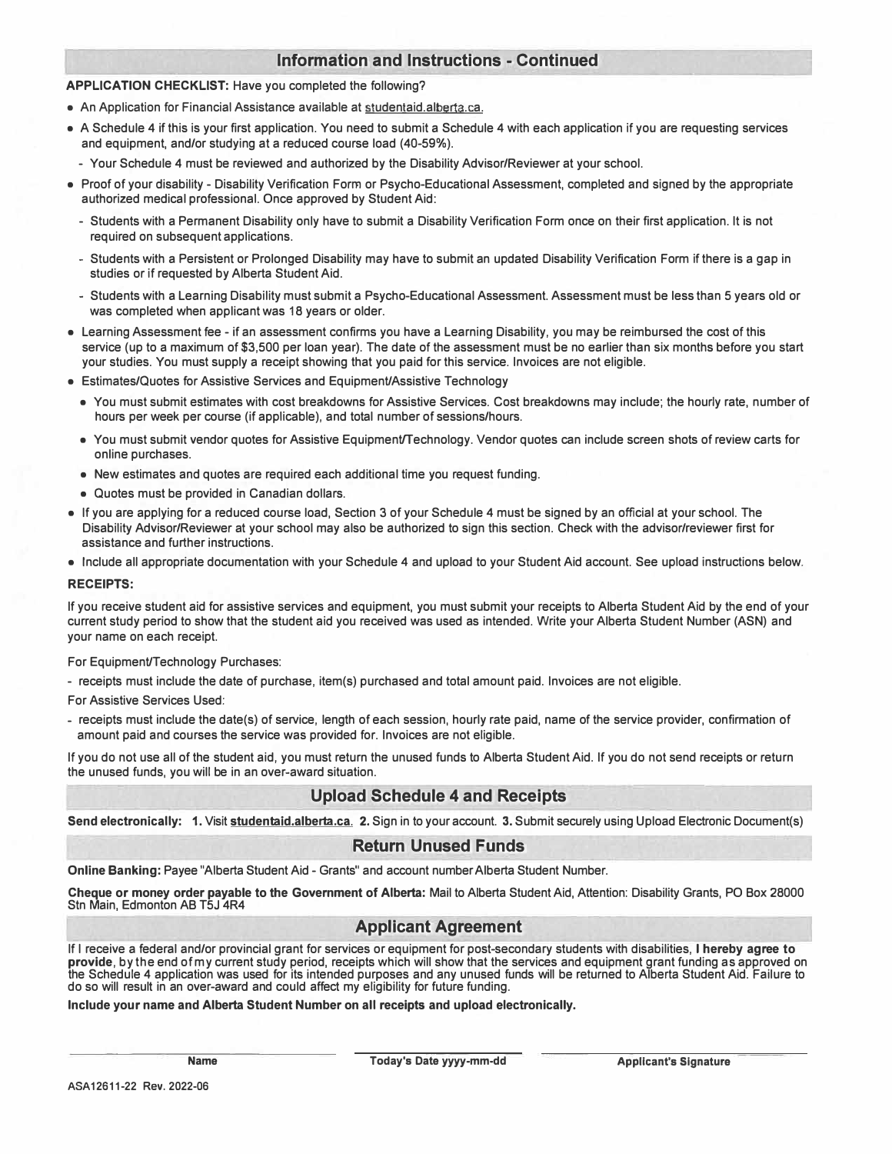## **Information and Instructions - Continued**

#### **APPLICATION CHECKLIST:** Have you completed the following?

- An Application for Financial Assistance available at studentaid.alberta.ca.
- A Schedule 4 if this is your first application. You need to submit a Schedule 4 with each application if you are requesting services and equipment, and/or studying at a reduced course load (40-59%).
	- Your Schedule 4 must be reviewed and authorized by the Disability Advisor/Reviewer at your school.
- Proof of your disability Disability Verification Form or Psycho-Educational Assessment, completed and signed by the appropriate authorized medical professional. Once approved by Student Aid:
	- Students with a Permanent Disability only have to submit a Disability Verification Form once on their first application. It is not required on subsequent applications.
	- Students with a Persistent or Prolonged Disability may have to submit an updated Disability Verification Form if there is a gap in studies or if requested by Alberta Student Aid.
	- Students with a Learning Disability must submit a Psycho-Educational Assessment. Assessment must be less than 5 years old or was completed when applicant was 18 years or older.
- Learning Assessment fee if an assessment confirms you have a Learning Disability, you may be reimbursed the cost of this service (up to a maximum of \$3,500 per loan year). The date of the assessment must be no earlier than six months before you start your studies. You must supply a receipt showing that you paid for this service. Invoices are not eligible.
- Estimates/Quotes for Assistive Services and Equipment/Assistive Technology
	- You must submit estimates with cost breakdowns for Assistive Services. Cost breakdowns may include; the hourly rate, number of hours per week per course (if applicable), and total number of sessions/hours.
	- You must submit vendor quotes for Assistive Equipment/Technology. Vendor quotes can include screen shots of review carts for online purchases.
	- New estimates and quotes are required each additional time you request funding.
	- Quotes must be provided in Canadian dollars.
- If you are applying for a reduced course load, Section 3 of your Schedule 4 must be signed by an official at your school. The Disability Advisor/Reviewer at your school may also be authorized to sign this section. Check with the advisor/reviewer first for assistance and further instructions.
- Include all appropriate documentation with your Schedule 4 and upload to your Student Aid account. See upload instructions below.

#### **RECEIPTS:**

If you receive student aid for assistive services and equipment, you must submit your receipts to Alberta Student Aid by the end of your current study period to show that the student aid you received was used as intended. Write your Alberta Student Number (ASN) and your name on each receipt.

#### For Equipment/Technology Purchases:

- receipts must include the date of purchase, item(s) purchased and total amount paid. Invoices are not eligible.

For Assistive Services Used:

- receipts must include the date(s) of service, length of each session, hourly rate paid, name of the service provider, confirmation of amount paid and courses the service was provided for. Invoices are not eligible.

If you do not use all of the student aid, you must return the unused funds to Alberta Student Aid. If you do not send receipts or return the unused funds, you will be in an over-award situation.

## **Upload Schedule 4 and Receipts**

**Send electronically: 1.** Visit **studentaid.alberta.ca. 2.** Sign in to your account. **3.** Submit securely using Upload Electronic Document(s)

## **Return Unused Funds**

**Online Banking:** Payee "Alberta Student Aid - Grants" and account number Alberta Student Number.

**Cheque or money order payable to the Government of Alberta:** Mail to Alberta Student Aid, Attention: Disability Grants, PO Box 28000 Stn Main, Edmonton AB T5J 4R4

## **Applicant Agreement**

If I receive a federal and/or provincial grant for services or equipment for post-secondary students with disabilities, I **hereby agree to provide,** by the end of my current study period, receipts which will show that the services and equipment grant funding as approved on the Schedule 4 application was used for its intended purposes and any unused funds will be returned to Alberta Student Aid. Failure to do so will result in an over-award and could affect my eligibility for future funding.

#### **Include your name and Alberta Student Number on all receipts and upload electronically.**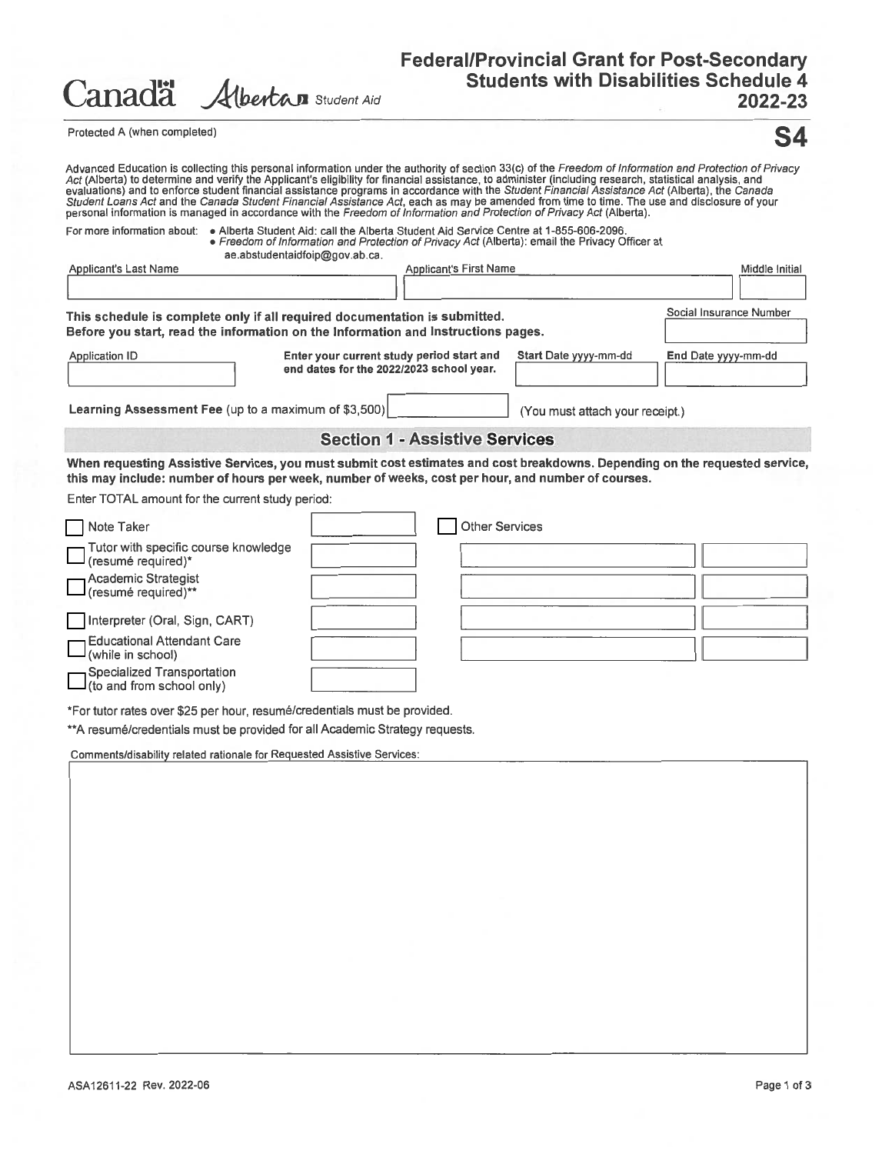| Canadä | Albertan Student Aid |  |
|--------|----------------------|--|
|        |                      |  |

# Federal/Provincial Grant for Post-Secondary<br>Students with Disabilities Schedule 4 2022-23

Protected A (when completed)



| Act (Alberta) to determine and verify the Applicant's eligibility for financial assistance, to administer (including research, statistical analysis, and<br>evaluations) and to enforce student financial assistance programs in accordance with the Student Financial Assistance Act (Alberta), the Canada<br>Student Loans Act and the Canada Student Financial Assistance Act, each as may be amended from time to time. The use and disclosure of your<br>personal information is managed in accordance with the Freedom of Information and Protection of Privacy Act (Alberta). |                                                                                                                                  |                                                                                       |  | Advanced Education is collecting this personal information under the authority of section 33(c) of the Freedom of Information and Protection of Privacy |
|--------------------------------------------------------------------------------------------------------------------------------------------------------------------------------------------------------------------------------------------------------------------------------------------------------------------------------------------------------------------------------------------------------------------------------------------------------------------------------------------------------------------------------------------------------------------------------------|----------------------------------------------------------------------------------------------------------------------------------|---------------------------------------------------------------------------------------|--|---------------------------------------------------------------------------------------------------------------------------------------------------------|
| For more information about: . Alberta Student Aid: call the Alberta Student Aid Service Centre at 1-855-606-2096.                                                                                                                                                                                                                                                                                                                                                                                                                                                                    | • Freedom of Information and Protection of Privacy Act (Alberta): email the Privacy Officer at<br>ae.abstudentaidfoip@gov.ab.ca. |                                                                                       |  |                                                                                                                                                         |
| <b>Applicant's Last Name</b>                                                                                                                                                                                                                                                                                                                                                                                                                                                                                                                                                         |                                                                                                                                  | <b>Applicant's First Name</b>                                                         |  | Middle Initial                                                                                                                                          |
|                                                                                                                                                                                                                                                                                                                                                                                                                                                                                                                                                                                      |                                                                                                                                  |                                                                                       |  |                                                                                                                                                         |
| This schedule is complete only if all required documentation is submitted.<br>Before you start, read the information on the Information and Instructions pages.                                                                                                                                                                                                                                                                                                                                                                                                                      |                                                                                                                                  |                                                                                       |  | Social Insurance Number                                                                                                                                 |
| <b>Application ID</b>                                                                                                                                                                                                                                                                                                                                                                                                                                                                                                                                                                |                                                                                                                                  | Enter your current study period start and<br>end dates for the 2022/2023 school year. |  | End Date yyyy-mm-dd                                                                                                                                     |
| Learning Assessment Fee (up to a maximum of \$3,500)                                                                                                                                                                                                                                                                                                                                                                                                                                                                                                                                 |                                                                                                                                  | (You must attach your receipt.)                                                       |  |                                                                                                                                                         |
|                                                                                                                                                                                                                                                                                                                                                                                                                                                                                                                                                                                      |                                                                                                                                  | <b>Section 1 - Assistive Services</b>                                                 |  |                                                                                                                                                         |
| When requesting Assistive Services, you must submit cost estimates and cost breakdowns. Depending on the requested service,<br>this may include: number of hours per week, number of weeks, cost per hour, and number of courses.<br>Enter TOTAL amount for the current study period:                                                                                                                                                                                                                                                                                                |                                                                                                                                  |                                                                                       |  |                                                                                                                                                         |
| Note Taker                                                                                                                                                                                                                                                                                                                                                                                                                                                                                                                                                                           |                                                                                                                                  | <b>Other Services</b>                                                                 |  |                                                                                                                                                         |
| Tutor with specific course knowledge<br>(resumé required)*                                                                                                                                                                                                                                                                                                                                                                                                                                                                                                                           |                                                                                                                                  |                                                                                       |  |                                                                                                                                                         |
| <b>Academic Strategist</b><br>(resumé required)**                                                                                                                                                                                                                                                                                                                                                                                                                                                                                                                                    |                                                                                                                                  |                                                                                       |  |                                                                                                                                                         |
| Interpreter (Oral, Sign, CART)                                                                                                                                                                                                                                                                                                                                                                                                                                                                                                                                                       |                                                                                                                                  |                                                                                       |  |                                                                                                                                                         |
| <b>Educational Attendant Care</b><br>(while in school)                                                                                                                                                                                                                                                                                                                                                                                                                                                                                                                               |                                                                                                                                  |                                                                                       |  |                                                                                                                                                         |
| <b>Specialized Transportation</b><br>(to and from school only)                                                                                                                                                                                                                                                                                                                                                                                                                                                                                                                       |                                                                                                                                  |                                                                                       |  |                                                                                                                                                         |
| *For tutor rates over \$25 per hour, resumé/credentials must be provided.<br>** A resumé/credentials must be provided for all Academic Strategy requests.                                                                                                                                                                                                                                                                                                                                                                                                                            |                                                                                                                                  |                                                                                       |  |                                                                                                                                                         |
| Comments/disability related rationale for Requested Assistive Services:                                                                                                                                                                                                                                                                                                                                                                                                                                                                                                              |                                                                                                                                  |                                                                                       |  |                                                                                                                                                         |
|                                                                                                                                                                                                                                                                                                                                                                                                                                                                                                                                                                                      |                                                                                                                                  |                                                                                       |  |                                                                                                                                                         |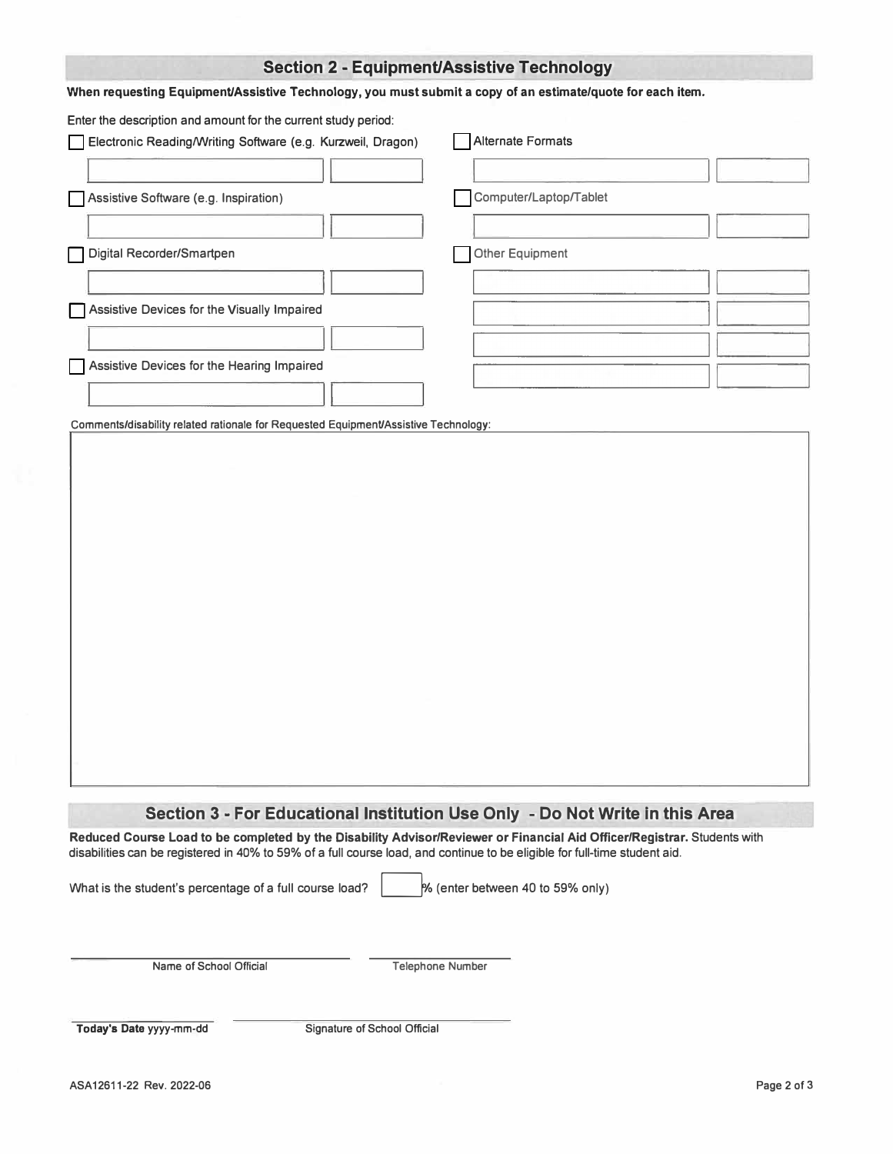# **Section 2 - Equipment/Assistive Technology**

### When requesting Equipment/Assistive Technology, you must submit a copy of an estimate/quote for each item.

Enter the description and amount for the current study period:

|                                       | Electronic Reading/Writing Software (e.g. Kurzweil, Dragon) |  | Alternate Formats      |  |
|---------------------------------------|-------------------------------------------------------------|--|------------------------|--|
|                                       |                                                             |  |                        |  |
| Assistive Software (e.g. Inspiration) |                                                             |  | Computer/Laptop/Tablet |  |
|                                       |                                                             |  |                        |  |
| Digital Recorder/Smartpen             |                                                             |  | Other Equipment        |  |
|                                       |                                                             |  |                        |  |
|                                       | Assistive Devices for the Visually Impaired                 |  |                        |  |
|                                       |                                                             |  |                        |  |
|                                       | Assistive Devices for the Hearing Impaired                  |  |                        |  |
|                                       |                                                             |  |                        |  |

Comments/disability related rationale for Requested Equipment/Assistive Technology:

## **Section 3 - For Educational Institution Use Only - Do Not Write In this Area**

**Reduced Course Load to be completed by the Disability Advisor/Reviewer or Financial Aid Officer/Registrar.** Students with disabilities can be registered in 40% to 59% of a full course load, and continue to be eligible for full-time student aid.

What is the student's percentage of a full course load?  $\sim$  % (enter between 40 to 59% only)

Name of School Official Telephone Number

Today's Date yyyy-mm-dd Signature of School Official